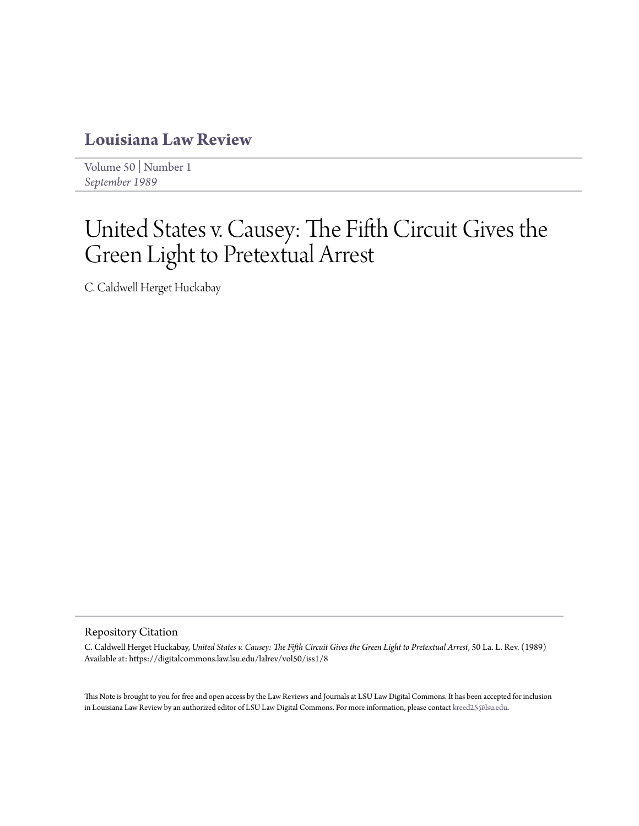## **[Louisiana Law Review](https://digitalcommons.law.lsu.edu/lalrev)**

[Volume 50](https://digitalcommons.law.lsu.edu/lalrev/vol50) | [Number 1](https://digitalcommons.law.lsu.edu/lalrev/vol50/iss1) *[September 1989](https://digitalcommons.law.lsu.edu/lalrev/vol50/iss1)*

## United States v. Causey: The Fifth Circuit Gives the Green Light to Pretextual Arrest

C. Caldwell Herget Huckabay

## Repository Citation

C. Caldwell Herget Huckabay, *United States v. Causey: The Fifth Circuit Gives the Green Light to Pretextual Arrest*, 50 La. L. Rev. (1989) Available at: https://digitalcommons.law.lsu.edu/lalrev/vol50/iss1/8

This Note is brought to you for free and open access by the Law Reviews and Journals at LSU Law Digital Commons. It has been accepted for inclusion in Louisiana Law Review by an authorized editor of LSU Law Digital Commons. For more information, please contact [kreed25@lsu.edu](mailto:kreed25@lsu.edu).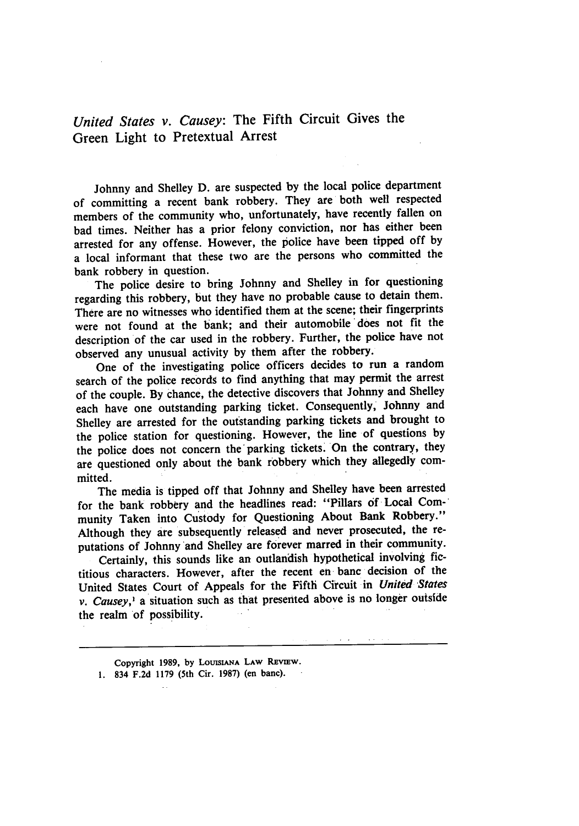*United States v. Causey:* The Fifth Circuit Gives the Green Light to Pretextual Arrest

Johnny and Shelley D. are suspected by the local police department of committing a recent bank robbery. They are both well respected members of the community who, unfortunately, have recently fallen on bad times. Neither has a prior felony conviction, nor has either been arrested for any offense. However, the police have been tipped off by a local informant that these two are the persons who committed the bank robbery in question.

The police desire to bring Johnny and Shelley in for questioning regarding this robbery, but they have no probable cause to detain them. There are no witnesses who identified them at the scene; their fingerprints were not found at the bank; and their automobile does not fit the description of the car used in the robbery. Further, the police have not observed any unusual activity by them after the robbery.

One of the investigating police officers decides to run a random search of the police records to find anything that may permit the arrest of the couple. By chance, the detective discovers that Johnny and Shelley each have one outstanding parking ticket. Consequently, Johnny and Shelley are arrested for the outstanding parking tickets and brought to the police station for questioning. However, the line of questions by the police does not concern the'parking tickets. On the contrary, they are questioned only about the bank robbery which they allegedly committed.

The media is tipped off that Johnny and Shelley have been arrested for the bank robbery and the headlines read: "Pillars **of** Local Community Taken into Custody for Questioning About Bank Robbery." Although they are subsequently released and never prosecuted, the reputations of Johnny and Shelley are forever marred in their community.

Certainly, this sounds like an outlandish hypothetical involving fictitious characters. However, after the recent en banc decision of the United States Court of Appeals for the Fifth Circuit in *United States v. Causey,<sup>1</sup>* a situation such as that presented above is no longer outside the realm of possibility.

Copyright 1989, by **LOUISIANA** LAw **REvIEw.** 1. 834 F.2d 1179 (5th Cir. **1987)** (en bane).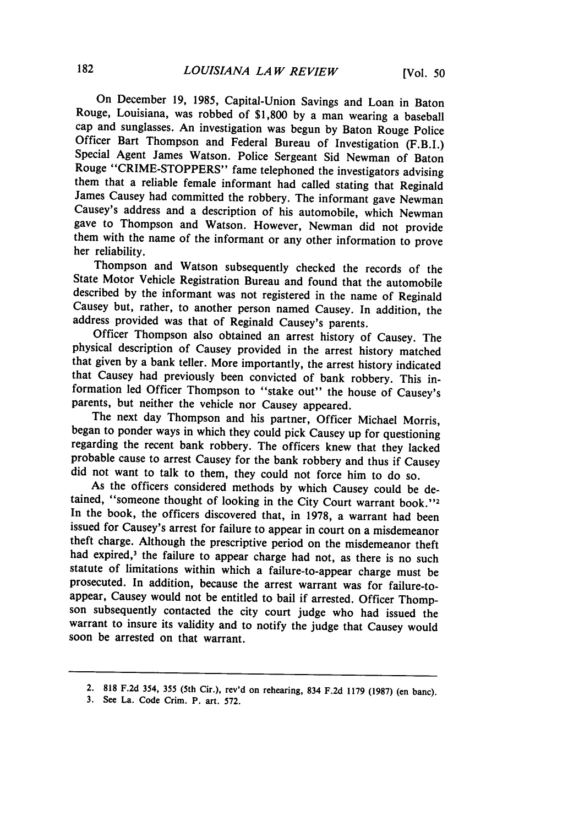On December **19, 1985,** Capital-Union Savings and Loan in Baton Rouge, Louisiana, was robbed of \$1,800 by a man wearing a baseball cap and sunglasses. An investigation was begun by Baton Rouge Police Officer Bart Thompson and Federal Bureau of Investigation (F.B.I.) Special Agent James Watson. Police Sergeant Sid Newman of Baton Rouge "CRIME-STOPPERS" fame telephoned the investigators advising them that a reliable female informant had called stating that Reginald James Causey had committed the robbery. The informant gave Newman Causey's address and a description of his automobile, which Newman them with the name of the informant or any other information to prove her reliability.

Thompson and Watson subsequently checked the records of the State Motor Vehicle Registration Bureau and found that the automobile described by the informant was not registered in the name of Reginald Causey but, rather, to another person named Causey. In addition, the address provided was that of Reginald Causey's parents.

Officer Thompson also obtained an arrest history of Causey. The physical description of Causey provided in the arrest history matched that given by a bank teller. More importantly, the arrest history indicated that Causey had previously been convicted of bank robbery. This information led Officer Thompson to "stake out" the house of Causey's parents, but neither the vehicle nor Causey appeared.

The next day Thompson and his partner, Officer Michael Morris, began to ponder ways in which they could pick Causey up for questioning regarding the recent bank robbery. The officers knew that they lacked probable cause to arrest Causey for the bank robbery and thus if Causey did not want to talk to them, they could not force him to do so.

As the officers considered methods by which Causey could be detained, "someone thought of looking in the City Court warrant book.''2 In the book, the officers discovered that, in 1978, a warrant had been issued for Causey's arrest for failure to appear in court on a misdemeanor theft charge. Although the prescriptive period on the misdemeanor theft had expired,<sup>3</sup> the failure to appear charge had not, as there is no such statute of limitations within which a failure-to-appear charge must be prosecuted. In addition, because the arrest warrant was for failure-toappear, Causey would not be entitled to bail if arrested. Officer Thompson subsequently contacted the city court judge who had issued the warrant to insure its validity and to notify the judge that Causey would soon be arrested on that warrant.

**<sup>2. 818</sup> F.2d** 354, **355** (5th **Cir.), rev'd on** rehearing, **834 F.2d 1179 (1987) (en banc).**

**<sup>3.</sup> See** La. Code Crim. P. art. **572.**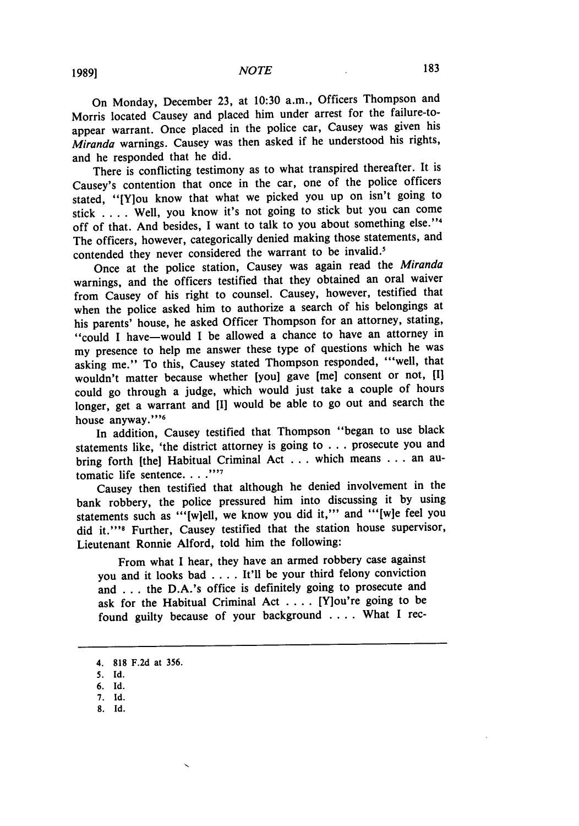On Monday, December 23, at 10:30 a.m., Officers Thompson and Morris located Causey and placed him under arrest for the failure-toappear warrant. Once placed in the police car, Causey was given his Miranda warnings. Causey was then asked if he understood his rights, and he responded that he did.

There is conflicting testimony as to what transpired thereafter. It is Causey's contention that once in the car, one of the police officers stated, "[Y]ou know that what we picked you up on isn't going to stick .... Well, you know it's not going to stick but you can come off of that. And besides, I want to talk to you about something else."<sup>4</sup> The officers, however, categorically denied making those statements, and contended they never considered the warrant to be invalid.'

Once at the police station, Causey was again read the Miranda warnings, and the officers testified that they obtained an oral waiver from Causey of his right to counsel. Causey, however, testified that when the police asked him to authorize a search of his belongings at his parents' house, he asked Officer Thompson for an attorney, stating, "could I have-would I be allowed a chance to have an attorney in my presence to help me answer these type of questions which he was asking me." To this, Causey stated Thompson responded, "'well, that wouldn't matter because whether [you] gave [me] consent or not, **[I]** could go through a judge, which would just take a couple of hours longer, get a warrant and **[I]** would be able to go out and search the house **anyway."' '6**

In addition, Causey testified that Thompson "began to use black statements like, 'the district attorney is going to **...** prosecute you and bring forth [the] Habitual Criminal Act **...** which means **...** an automatic life sentence. . . .<sup>777</sup>

Causey then testified that although he denied involvement in the bank robbery, the police pressured him into discussing it **by** using statements such as "'[w]ell, we know you did it,"' and "'[w]e feel you did **it."'8** Further, Causey testified that the station house supervisor, Lieutenant Ronnie Alford, told him the following:

From what I hear, they have an armed robbery case against you and it looks bad .... It'll be your third felony conviction and **...** the D.A.'s office is definitely going to prosecute and ask for the Habitual Criminal Act .... [Y]ou're going to be found guilty because of your background .... What **I** rec-

**8. Id.**

**<sup>4. 818</sup> F.2d** at **356.**

**<sup>5.</sup> Id.**

**<sup>6.</sup> Id.**

**<sup>7.</sup> Id.**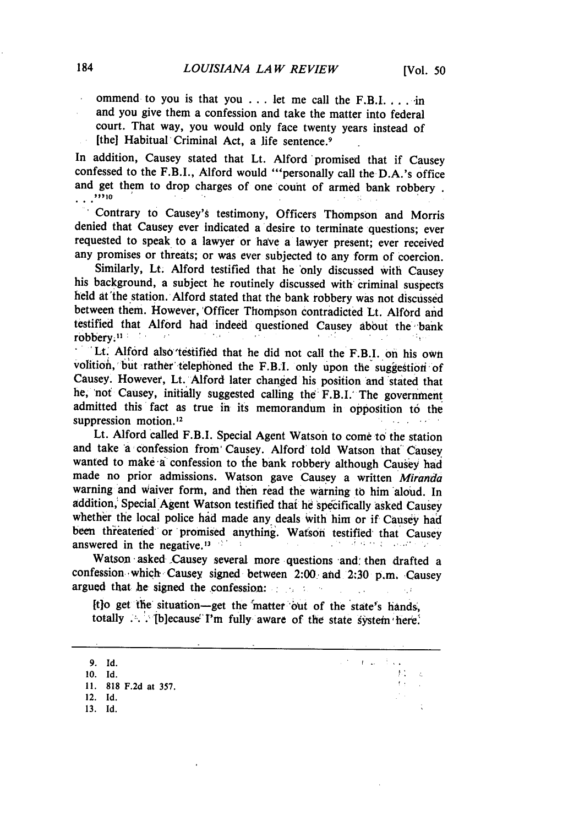ommend to you is that you **...** let me call the F.B.I. ... **in** and you give them a confession and take the matter into federal court. That way, you would only face twenty years instead of [the] Habitual Criminal Act, a life sentence. <sup>9</sup>

In addition, Causey stated that Lt. Alford 'promised that if Causey confessed to the F.B.I., Alford would ""personally call the D.A.'s office and get them to drop charges of one count of armed bank robbery .  $\cdots$ <sup>2010</sup>

Contrary to Causey'g testimony, Officers Thompson and Morris denied that Causey ever indicated a desire to terminate questions; ever requested to speak to a lawyer or have a lawyer present; ever received any promises or threats; or was ever subjected to any form of coercion.

Similarly, Lt. Alford testified that he 'only discussed with Causey his background, a subject he routinely discussed with criminal suspects held at'the station. Alford stated that the bank robbery was not discussed between them. However, 'Officer Thompson contradicted Lt. Alford and testified that Alford had indeed questioned Causey about the bank robbery.<sup>11</sup> *N* 

Lt. Alford also testified that he did not call the F.B.I. on his own volition, but rather telephoned the F.B.I. only upon the suggestion of Causey. However, Lt. Alford later changed his position and stated that he, 'not Causey, initially suggested calling the F.B.I.' The government admitted this fact as true in its memorandum in opposition to the suppression motion.<sup>12</sup>

Lt. Alford called F.B.I. Special Agent Watson to come to the station and take 'a confession from Causey. Alford told Watson that" Causey wanted to make-a confession to the bank robbery although Causey had made no prior admissions. Watson gave Causey a written *Miranda* warning and Waiver form, and then read the warning to him aloud. In addition, Special Agent Watson testified that he specifically asked Causey whether the local police had made any deals with him or if Causey had been threatened or promised anything. Watson testified that Causey answered in the negative.<sup>13</sup>

Watson asked Causey several more questions and: then drafted a confession 'which Causey signed between 2:00' **and** 2:30 p.m. Causey argued that he signed the confession: *.*

Itlo get the situation-get the matter out of the state's hands, totally ... *.*' [b]ecause I'm fully aware of the state system here.

| 9. Id.  |                      |  | <b>Second Control Control Control</b> |           |
|---------|----------------------|--|---------------------------------------|-----------|
| 10. Id. |                      |  | <b>CONTRACTOR</b>                     | $\sim$ 2. |
|         | 11. 818 F.2d at 357. |  | of the count                          |           |
| 12. Id. |                      |  |                                       |           |
| 13. Id. |                      |  |                                       |           |
|         |                      |  |                                       |           |

 $\sim 10$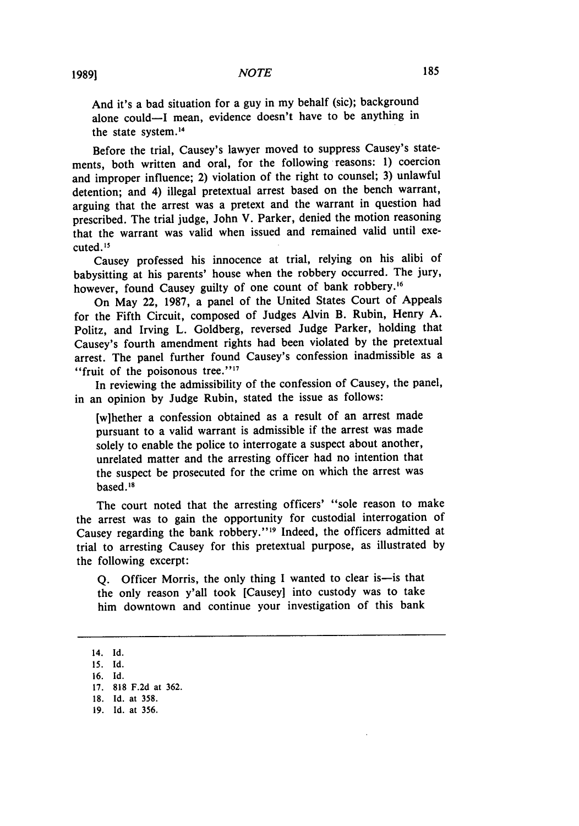And it's a bad situation for a guy in my behalf (sic); background alone could-I mean, evidence doesn't have to be anything in the state system.<sup>14</sup>

Before the trial, Causey's lawyer moved to suppress Causey's statements, both written and oral, for the following reasons: 1) coercion and improper influence; 2) violation of the right to counsel; 3) unlawful detention; and 4) illegal pretextual arrest based on the bench warrant, arguing that the arrest was a pretext and the warrant in question had prescribed. The trial judge, John V. Parker, denied the motion reasoning that the warrant was valid when issued and remained valid until executed. **I 5**

Causey professed his innocence at trial, relying on his alibi of babysitting at his parents' house when the robbery occurred. The jury, however, found Causey guilty of one count of bank robbery.<sup>16</sup>

On May 22, 1987, a panel of the United States Court of Appeals for the Fifth Circuit, composed of Judges Alvin B. Rubin, Henry A. Politz, and Irving L. Goldberg, reversed Judge Parker, holding that Causey's fourth amendment rights had been violated by the pretextual arrest. The panel further found Causey's confession inadmissible as a "fruit of the poisonous tree."<sup>17</sup>

In reviewing the admissibility of the confession of Causey, the panel, in an opinion by Judge Rubin, stated the issue as follows:

[wihether a confession obtained as a result of an arrest made pursuant to a valid warrant is admissible if the arrest was made solely to enable the police to interrogate a suspect about another, unrelated matter and the arresting officer had no intention that the suspect be prosecuted for the crime on which the arrest was based. **"8**

The court noted that the arresting officers' "sole reason to make the arrest was to gain the opportunity for custodial interrogation of Causey regarding the bank robbery."<sup>19</sup> Indeed, the officers admitted at trial to arresting Causey for this pretextual purpose, as illustrated by the following excerpt:

Q. Officer Morris, the only thing I wanted to clear is-is that the only reason y'all took [Causey] into custody was to take him downtown and continue your investigation of this bank

<sup>14.</sup> Id.

**<sup>15.</sup> Id.**

<sup>16.</sup> Id.

<sup>17. 818</sup> F.2d at 362.

<sup>18.</sup> Id. at 358.

<sup>19.</sup> Id. at 356.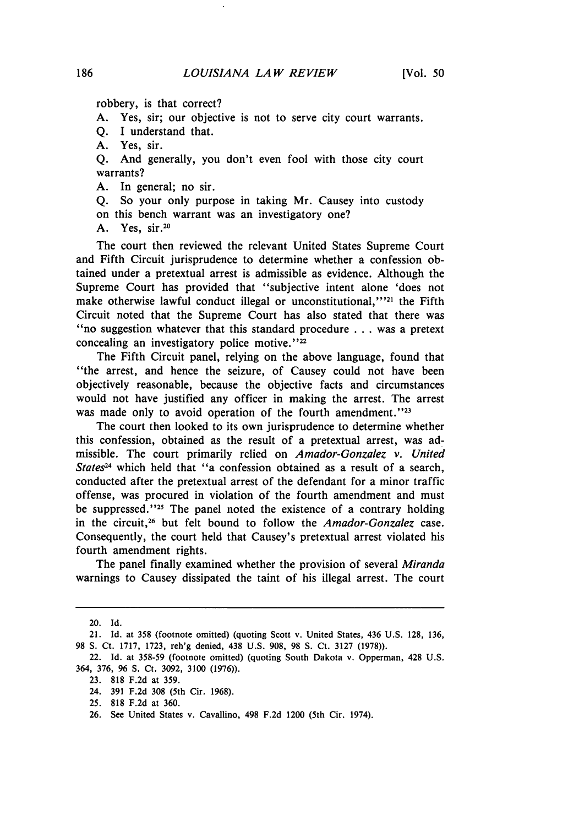robbery, is that correct?

A. Yes, sir; our objective is not to serve city court warrants.

Q. I understand that.

A. Yes, sir.

Q. And generally, you don't even fool with those city court warrants?

A. In general; no sir.

Q. So your only purpose in taking Mr. Causey into custody on this bench warrant was an investigatory one?

A. Yes, sir.<sup>20</sup>

The court then reviewed the relevant United States Supreme Court and Fifth Circuit jurisprudence to determine whether a confession obtained under a pretextual arrest is admissible as evidence. Although the Supreme Court has provided that "subjective intent alone 'does not make otherwise lawful conduct illegal or unconstitutional,"<sup>221</sup> the Fifth Circuit noted that the Supreme Court has also stated that there was ''no suggestion whatever that this standard procedure . . . was a pretext concealing an investigatory police motive."<sup>22</sup>

The Fifth Circuit panel, relying on the above language, found that "the arrest, and hence the seizure, of Causey could not have been objectively reasonable, because the objective facts and circumstances would not have justified any officer in making the arrest. The arrest was made only to avoid operation of the fourth amendment.<sup>''23</sup>

The court then looked to its own jurisprudence to determine whether this confession, obtained as the result of a pretextual arrest, was admissible. The court primarily relied on *Amador-Gonzalez v. United States24* which held that "a confession obtained as a result of a search, conducted after the pretextual arrest of the defendant for a minor traffic offense, was procured in violation of the fourth amendment and must be suppressed."<sup>25</sup> The panel noted the existence of a contrary holding in the circuit, 26 but felt bound to follow the *Amador-Gonzalez* case. Consequently, the court held that Causey's pretextual arrest violated his fourth amendment rights.

The panel finally examined whether the provision of several *Miranda* warnings to Causey dissipated the taint of his illegal arrest. The court

<sup>20.</sup> Id.

<sup>21.</sup> Id. at 358 (footnote omitted) (quoting Scott v. United States, 436 U.S. 128, 136, 98 **S.** Ct. 1717, 1723, reh'g denied, 438 U.S. 908, 98 **S.** Ct. 3127 (1978)).

<sup>22.</sup> Id. at 358-59 (footnote omitted) (quoting South Dakota v. Opperman, 428 U.S. 364, 376, 96 **S.** Ct. 3092, 3100 (1976)).

<sup>23. 818</sup> F.2d at 359.

<sup>24. 391</sup> F.2d 308 (5th Cir. 1968).

<sup>25. 818</sup> F.2d at 360.

<sup>26.</sup> See United States v. Cavallino, 498 F.2d 1200 (5th Cir. 1974).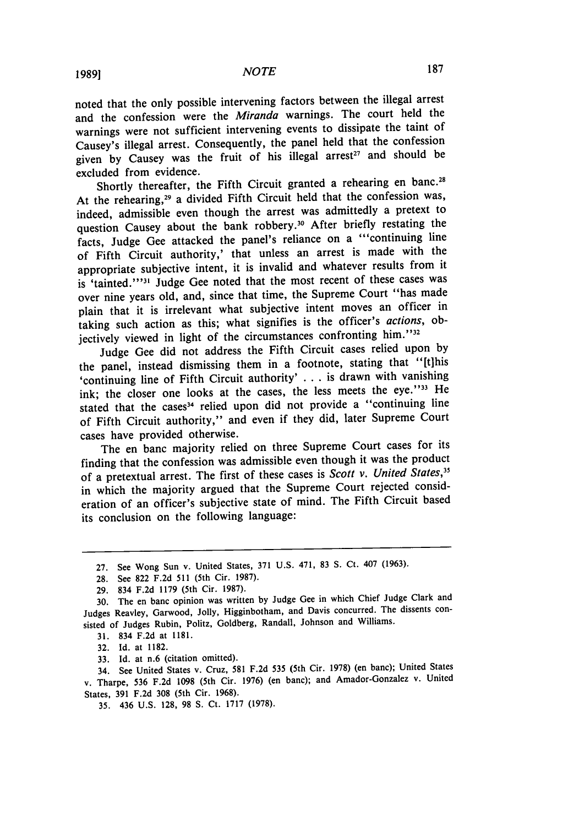noted that the only possible intervening factors between the illegal arrest and the confession were the *Miranda* warnings. The court held the warnings were not sufficient intervening events to dissipate the taint of Causey's illegal arrest. Consequently, the panel held that the confession given by Causey was the fruit of his illegal arrest<sup>27</sup> and should be excluded from evidence.

Shortly thereafter, the Fifth Circuit granted a rehearing en banc.<sup>28</sup> At the rehearing,<sup>29</sup> a divided Fifth Circuit held that the confession was, indeed, admissible even though the arrest was admittedly a pretext to question Causey about the bank robbery.<sup>30</sup> After briefly restating the facts, Judge Gee attacked the panel's reliance on a "continuing line of Fifth Circuit authority,' that unless an arrest is made with the appropriate subjective intent, it is invalid and whatever results from it is 'tainted."<sup>31</sup> Judge Gee noted that the most recent of these cases was over nine years old, and, since that time, the Supreme Court "has made plain that it is irrelevant what subjective intent moves an officer in taking such action as this; what signifies is the officer's *actions,* objectively viewed in light of the circumstances confronting him.<sup>''32</sup>

Judge Gee did not address the Fifth Circuit cases relied upon by the panel, instead dismissing them in a footnote, stating that "[tIhis 'continuing line of Fifth Circuit authority' . **.** . is drawn with vanishing ink; the closer one looks at the cases, the less meets the eye."33 He stated that the cases<sup>34</sup> relied upon did not provide a "continuing line of Fifth Circuit authority," and even if they did, later Supreme Court cases have provided otherwise.

The en banc majority relied on three Supreme Court cases for its finding that the confession was admissible even though it was the product of a pretextual arrest. The first of these cases is *Scott v. United States,35* in which the majority argued that the Supreme Court rejected consideration of an officer's subjective state of mind. The Fifth Circuit based its conclusion on the following language:

33. Id. at n.6 (citation omitted).

34. See United States v. Cruz, 581 F.2d 535 (5th Cir. 1978) (en banc); United States v. Tharpe, 536 F.2d 1098 (5th Cir. 1976) (en banc); and Amador-Gonzalez v. United States, 391 F.2d 308 (5th Cir. 1968).

35. 436 U.S. 128, 98 **S.** Ct. 1717 (1978).

<sup>27.</sup> See Wong Sun v. United States, 371 U.S. 471, 83 S. Ct. 407 (1963).

<sup>28.</sup> See 822 F.2d 511 (5th Cir. 1987).

<sup>29. 834</sup> F.2d 1179 (5th Cir. 1987).

<sup>30.</sup> The en banc opinion was written by Judge Gee in which Chief Judge Clark and Judges Reavley, Garwood, Jolly, Higginbotham, and Davis concurred. The dissents consisted of Judges Rubin, Politz, Goldberg, Randall, Johnson and Williams.

<sup>31. 834</sup> F.2d at 1181.

<sup>32.</sup> Id. at 1182.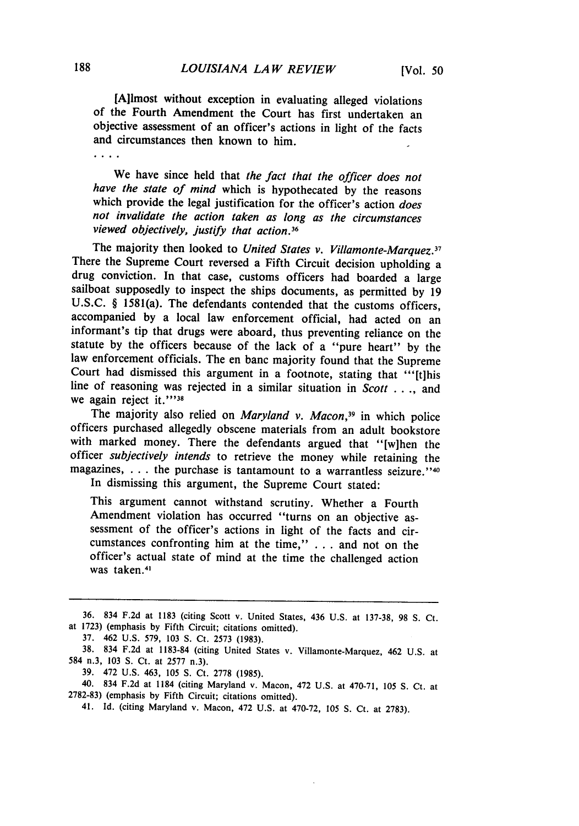[Ailmost without exception in evaluating alleged violations of the Fourth Amendment the Court has first undertaken an objective assessment of an officer's actions in light of the facts and circumstances then known to him.

 $\ldots$  .

We have since held that *the fact that the officer does not have the state of mind* which is hypothecated by the reasons which provide the legal justification for the officer's action *does not invalidate the action taken as long as the circumstances viewed objectively, justify that action.*<sup>36</sup>

The majority then looked to *United States v. Villamonte-Marquez.17* There the Supreme Court reversed a Fifth Circuit decision upholding a drug conviction. In that case, customs officers had boarded a large sailboat supposedly to inspect the ships documents, as permitted by 19 U.S.C. § 1581(a). The defendants contended that the customs officers, accompanied by a local law enforcement official, had acted on an informant's tip that drugs were aboard, thus preventing reliance on the statute by the officers because of the lack of a "pure heart" by the law enforcement officials. The en banc majority found that the Supreme Court had dismissed this argument in a footnote, stating that "'[t]his line of reasoning was rejected in a similar situation in *Scott ....* and we again reject it.""<sup>38</sup>

The majority also relied on *Maryland v. Macon*,<sup>39</sup> in which police officers purchased allegedly obscene materials from an adult bookstore with marked money. There the defendants argued that "[w]hen the officer *subjectively intends* to retrieve the money while retaining the magazines, ... the purchase is tantamount to a warrantless seizure."<sup>40</sup>

In dismissing this argument, the Supreme Court stated:

This argument cannot withstand scrutiny. Whether a Fourth Amendment violation has occurred "turns on an objective assessment of the officer's actions in light of the facts and circumstances confronting him at the time," **. . .** and not on the officer's actual state of mind at the time the challenged action 'was taken.<sup>4</sup>

<sup>36. 834</sup> F.2d at 1183 (citing Scott v. United States, 436 U.S. at 137-38, 98 S. Ct. at 1723) (emphasis by Fifth Circuit; citations omitted).

<sup>37. 462</sup> U.S. 579, 103 **S.** Ct. 2573 (1983).

<sup>38. 834</sup> F.2d at 1183-84 (citing United States v. Villamonte-Marquez, 462 U.S. at 584 n.3, 103 **S.** Ct. at 2577 n.3).

<sup>39. 472</sup> U.S. 463, 105 **S.** Ct. 2778 (1985). 40. 834 F.2d at 1184 (citing Maryland v. Macon, 472 U.S. at 470-71, 105 **S.** Ct. at 2782-83) (emphasis by Fifth Circuit; citations omitted).

<sup>41.</sup> Id. (citing Maryland v. Macon, 472 U.S. at 470-72, 105 **S.** Ct. at 2783).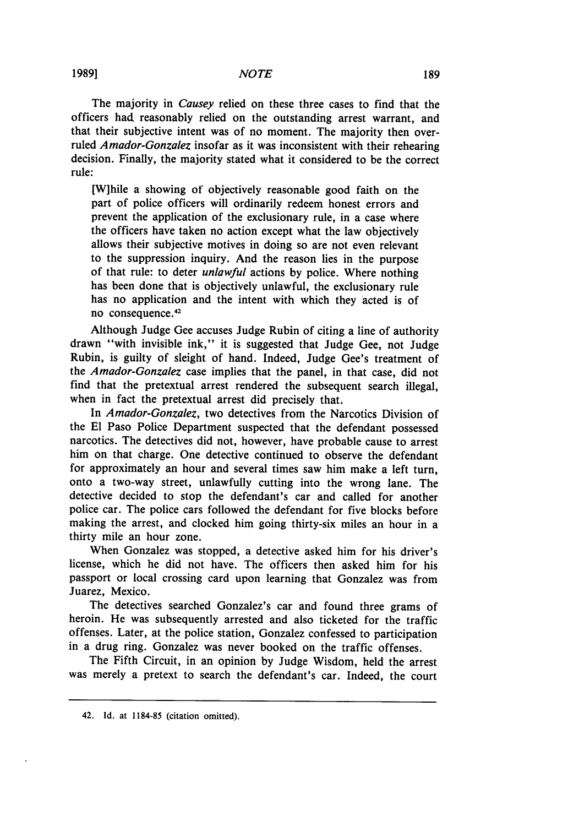The majority in *Causey* relied on these three cases to find that the officers had reasonably relied on the outstanding arrest warrant, and that their subjective intent was of no moment. The majority then overruled *Amador-Gonzalez* insofar as it was inconsistent with their rehearing decision. Finally, the majority stated what it considered to be the correct rule:

**[W]hile** a showing of objectively reasonable good faith on the part of police officers will ordinarily redeem honest errors and prevent the application of the exclusionary rule, in a case where the officers have taken no action except what the law objectively allows their subjective motives in doing so are not even relevant to the suppression inquiry. And the reason lies in the purpose of that rule: to deter *unlawful* actions **by** police. Where nothing has been done that is objectively unlawful, the exclusionary rule has no application and the intent with which they acted is of no consequence.<sup>42</sup>

Although Judge Gee accuses Judge Rubin of citing a line of authority drawn "with invisible ink," it is suggested that Judge Gee, not Judge Rubin, is guilty of sleight of hand. Indeed, Judge Gee's treatment of the *Amador-Gonzalez* case implies that the panel, in that case, did not find that the pretextual arrest rendered the subsequent search illegal, when in fact the pretextual arrest did precisely that.

In *Amador-Gonzalez,* two detectives from the Narcotics Division of the El Paso Police Department suspected that the defendant possessed narcotics. The detectives did not, however, have probable cause to arrest him on that charge. One detective continued to observe the defendant for approximately an hour and several times saw him make a left turn, onto a two-way street, unlawfully cutting into the wrong lane. The detective decided to stop the defendant's car and called for another police car. The police cars followed the defendant for five blocks before making the arrest, and clocked him going thirty-six miles an hour in a thirty mile an hour zone.

When Gonzalez was stopped, a detective asked him for his driver's license, which he did not have. The officers then asked him for his passport or local crossing card upon learning that Gonzalez was from Juarez, Mexico.

The detectives searched Gonzalez's car and found three grams of heroin. He was subsequently arrested and also ticketed for the traffic offenses. Later, at the police station, Gonzalez confessed to participation in a drug ring. Gonzalez was never booked on the traffic offenses.

The Fifth Circuit, in an opinion by Judge Wisdom, held the arrest was merely a pretext to search the defendant's car. Indeed, the court

<sup>42.</sup> Id. at 1184-85 (citation omitted).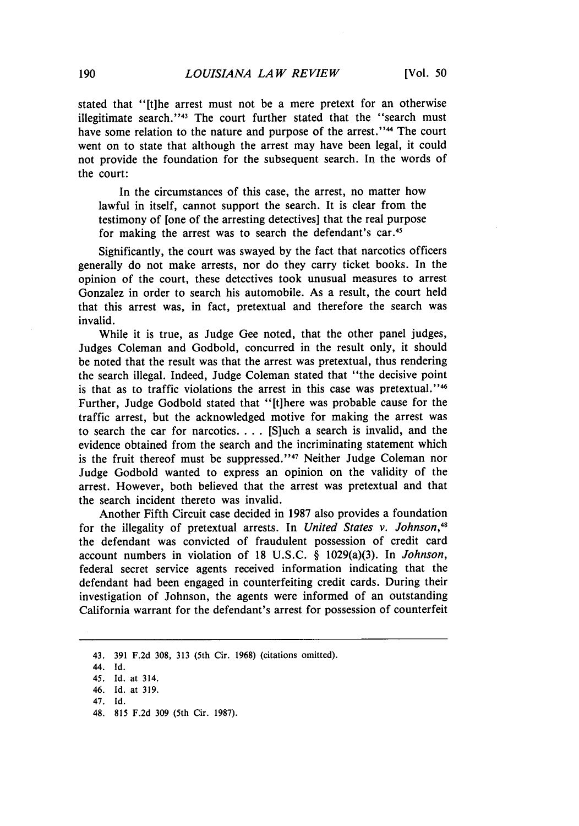stated that "[tihe arrest must not be a mere pretext for an otherwise illegitimate search."<sup>43</sup> The court further stated that the "search must have some relation to the nature and purpose of the arrest."<sup>44</sup> The court went on to state that although the arrest may have been legal, it could not provide the foundation for the subsequent search. In the words of the court:

In the circumstances of this case, the arrest, no matter how lawful in itself, cannot support the search. It is clear from the testimony of [one of the arresting detectives] that the real purpose for making the arrest was to search the defendant's car. <sup>45</sup>

Significantly, the court was swayed by the fact that narcotics officers generally do not make arrests, nor do they carry ticket books. In the opinion of the court, these detectives took unusual measures to arrest Gonzalez in order to search his automobile. As a result, the court held that this arrest was, in fact, pretextual and therefore the search was invalid.

While it is true, as Judge Gee noted, that the other panel judges, Judges Coleman and Godbold, concurred in the result only, it should be noted that the result was that the arrest was pretextual, thus rendering the search illegal. Indeed, Judge Coleman stated that "the decisive point is that as to traffic violations the arrest in this case was pretextual."<sup>46</sup> Further, Judge Godbold stated that "[t]here was probable cause for the traffic arrest, but the acknowledged motive for making the arrest was to search the car for narcotics **....** [S]uch a search is invalid, and the evidence obtained from the search and the incriminating statement which is the fruit thereof must be suppressed."<sup>47</sup> Neither Judge Coleman nor Judge Godbold wanted to express an opinion on the validity of the arrest. However, both believed that the arrest was pretextual and that the search incident thereto was invalid.

Another Fifth Circuit case decided in 1987 also provides a foundation for the illegality of pretextual arrests. In *United States v. Johnson,4* the defendant was convicted of fraudulent possession of credit card account numbers in violation of 18 U.S.C. § 1029(a)(3). In *Johnson,* federal secret service agents received information indicating that the defendant had been engaged in counterfeiting credit cards. During their investigation of Johnson, the agents were informed of an outstanding California warrant for the defendant's arrest for possession of counterfeit

48. 815 F.2d 309 (5th Cir. 1987).

<sup>43. 391</sup> F.2d 308, 313 (5th Cir. **1968)** (citations omitted).

<sup>44.</sup> **Id.**

<sup>45.</sup> Id. at 314.

<sup>46.</sup> Id. at 319. 47. Id.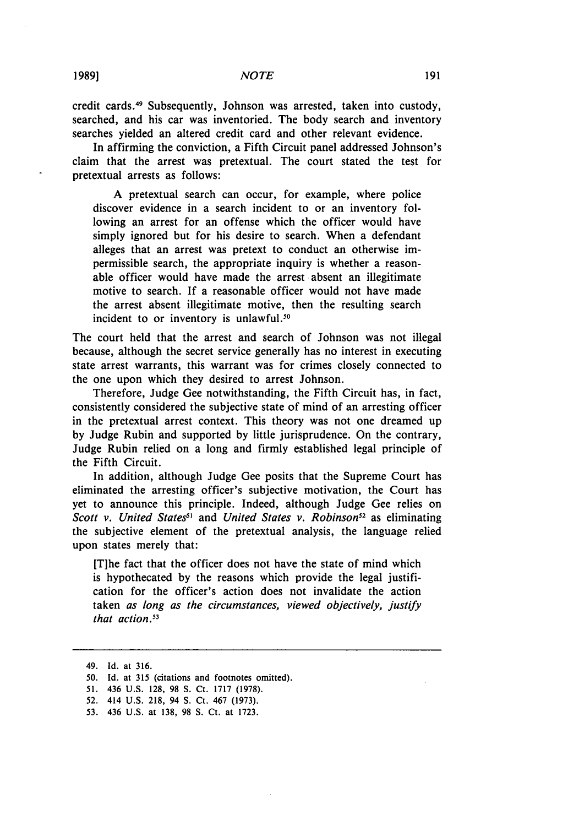credit cards. 49 Subsequently, Johnson was arrested, taken into custody, searched, and his car was inventoried. The body search and inventory searches yielded an altered credit card and other relevant evidence.

In affirming the conviction, a Fifth Circuit panel addressed Johnson's claim that the arrest was pretextual. The court stated the test for pretextual arrests as follows:

A pretextual search can occur, for example, where police discover evidence in a search incident to or an inventory following an arrest for an offense which the officer would have simply ignored but for his desire to search. When a defendant alleges that an arrest was pretext to conduct an otherwise impermissible search, the appropriate inquiry is whether a reasonable officer would have made the arrest absent an illegitimate motive to search. If a reasonable officer would not have made the arrest absent illegitimate motive, then the resulting search incident to or inventory is unlawful. $50$ 

The court held that the arrest and search of Johnson was not illegal because, although the secret service generally has no interest in executing state arrest warrants, this warrant was for crimes closely connected to the one upon which they desired to arrest Johnson.

Therefore, Judge Gee notwithstanding, the Fifth Circuit has, in fact, consistently considered the subjective state of mind of an arresting officer in the pretextual arrest context. This theory was not one dreamed up by Judge Rubin and supported by little jurisprudence. On the contrary, Judge Rubin relied on a long and firmly established legal principle of the Fifth Circuit.

In addition, although Judge Gee posits that the Supreme Court has eliminated the arresting officer's subjective motivation, the Court has yet to announce this principle. Indeed, although Judge Gee relies on *Scott v. United States<sup>51</sup>* and *United States v. Robinson*<sup>52</sup> as eliminating the subjective element of the pretextual analysis, the language relied upon states merely that:

[Tihe fact that the officer does not have the state of mind which is hypothecated by the reasons which provide the legal justification for the officer's action does not invalidate the action taken *as long as the circumstances, viewed objectively, justify that action.5 "*

<sup>49.</sup> Id. at 316.

<sup>50.</sup> Id. at 315 (citations and footnotes omitted).

<sup>51. 436</sup> U.S. 128, 98 S. Ct. 1717 (1978).

<sup>52.</sup> 414 U.S. 218, 94 S. Ct. 467 (1973).

<sup>53. 436</sup> U.S. at 138, 98 **S.** Ct. at 1723.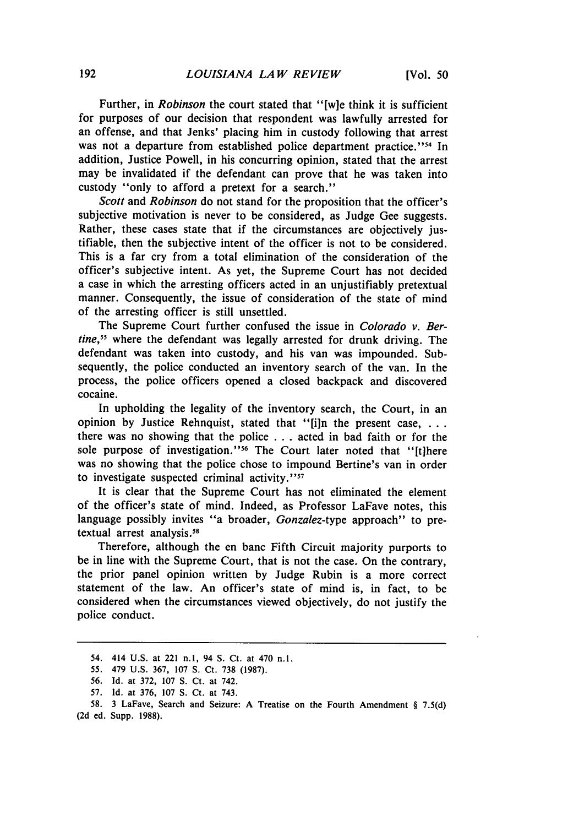Further, in *Robinson* the court stated that "[w]e think it is sufficient for purposes of our decision that respondent was lawfully arrested for an offense, and that Jenks' placing him in custody following that arrest was not a departure from established police department practice."<sup>54</sup> In addition, Justice Powell, in his concurring opinion, stated that the arrest may be invalidated if the defendant can prove that he was taken into custody "only to afford a pretext for a search."

*Scott* and *Robinson* do not stand for the proposition that the officer's subjective motivation is never to be considered, as Judge Gee suggests. Rather, these cases state that if the circumstances are objectively justifiable, then the subjective intent of the officer is not to be considered. This is a far cry from a total elimination of the consideration of the officer's subjective intent. As yet, the Supreme Court has not decided a case in which the arresting officers acted in an unjustifiably pretextual manner. Consequently, the issue of consideration of the state of mind of the arresting officer is still unsettled.

The Supreme Court further confused the issue in *Colorado v. Bertine,5* where the defendant was legally arrested for drunk driving. The defendant was taken into custody, and his van was impounded. Subsequently, the police conducted an inventory search of the van. In the process, the police officers opened a closed backpack and discovered cocaine.

In upholding the legality of the inventory search, the Court, in an opinion by Justice Rehnquist, stated that "[iln the present case, **...** there was no showing that the police  $\dots$  acted in bad faith or for the sole purpose of investigation."<sup>56</sup> The Court later noted that "[t]here was no showing that the police chose to impound Bertine's van in order to investigate suspected criminal activity."<sup>57</sup>

It is clear that the Supreme Court has not eliminated the element of the officer's state of mind. Indeed, as Professor LaFave notes, this language possibly invites "a broader, *Gonzalez-type* approach" to pretextual arrest analysis.<sup>58</sup>

Therefore, although the en banc Fifth Circuit majority purports to be in line with the Supreme Court, that is not the case. On the contrary, the prior panel opinion written by Judge Rubin is a more correct statement of the law. An officer's state of mind is, in fact, to be considered when the circumstances viewed objectively, do not justify the police conduct.

<sup>54. 414</sup> U.S. at 221 n.1, 94 **S.** Ct. at 470 n.1.

<sup>55. 479</sup> U.S. 367, 107 **S.** Ct. 738 (1987).

<sup>56.</sup> Id. at 372, 107 **S.** Ct. at 742.

<sup>57.</sup> Id. at 376, 107 **S.** Ct. at 743.

<sup>58. 3</sup> LaFave, Search and Seizure: A Treatise on the Fourth Amendment § 7.5(d) (2d ed. Supp. 1988).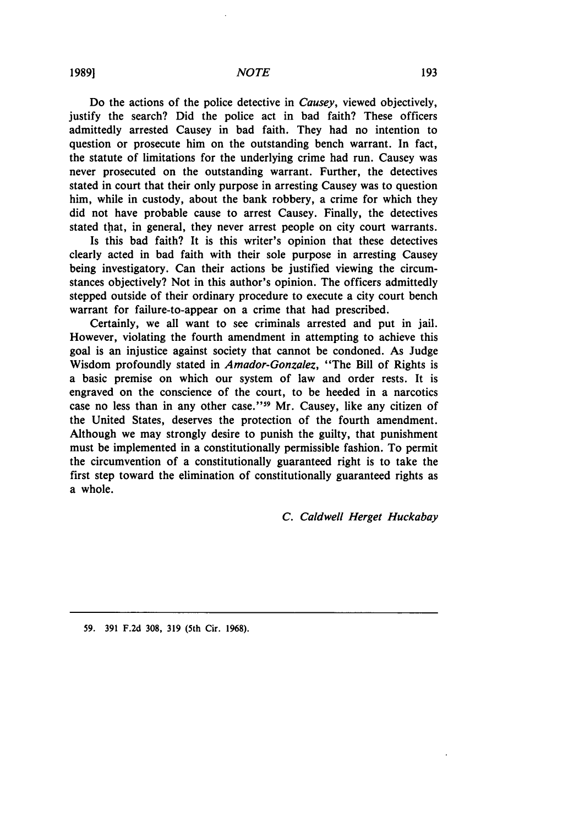Do the actions of the police detective in *Causey,* viewed objectively, justify the search? Did the police act in bad faith? These officers admittedly arrested Causey in bad faith. They had no intention to question or prosecute him on the outstanding bench warrant. In fact, the statute of limitations for the underlying crime had run. Causey was never prosecuted on the outstanding warrant. Further, the detectives stated in court that their only purpose in arresting Causey was to question him, while in custody, about the bank robbery, a crime for which they did not have probable cause to arrest Causey. Finally, the detectives stated that, in general, they never arrest people on city court warrants.

Is this bad faith? It is this writer's opinion that these detectives clearly acted in bad faith with their sole purpose in arresting Causey being investigatory. Can their actions be justified viewing the circumstances objectively? Not in this author's opinion. The officers admittedly stepped outside of their ordinary procedure to execute a city court bench warrant for failure-to-appear on a crime that had prescribed.

Certainly, we all want to see criminals arrested and put in jail. However, violating the fourth amendment in attempting to achieve this goal is an injustice against society that cannot be condoned. As Judge Wisdom profoundly stated in *Amador-Gonzalez,* "The Bill of Rights is a basic premise on which our system of law and order rests. It is engraved on the conscience of the court, to be heeded in a narcotics case no less than in any other case."<sup>59</sup> Mr. Causey, like any citizen of the United States, deserves the protection of the fourth amendment. Although we may strongly desire to punish the guilty, that punishment must be implemented in a constitutionally permissible fashion. To permit the circumvention of a constitutionally guaranteed right is to take the first step toward the elimination of constitutionally guaranteed rights as a whole.

## *C.* Caldwell Herget *Huckabay*

**59. 391 F.2d 308, 319 (5th Cir. 1968).**